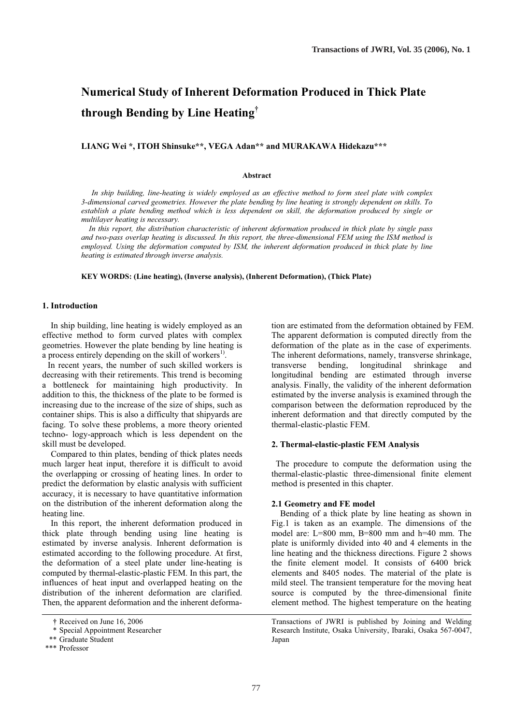# **Numerical Study of Inherent Deformation Produced in Thick Plate through Bending by Line Heating†**

**LIANG Wei \*, ITOH Shinsuke\*\*, VEGA Adan\*\* and MURAKAWA Hidekazu\*\*\*** 

### **Abstract**

*In ship building, line-heating is widely employed as an effective method to form steel plate with complex 3-dimensional carved geometries. However the plate bending by line heating is strongly dependent on skills. To establish a plate bending method which is less dependent on skill, the deformation produced by single or multilayer heating is necessary.* 

 *In this report, the distribution characteristic of inherent deformation produced in thick plate by single pass and two-pass overlap heating is discussed. In this report, the three-dimensional FEM using the ISM method is employed. Using the deformation computed by ISM, the inherent deformation produced in thick plate by line heating is estimated through inverse analysis.* 

**KEY WORDS: (Line heating), (Inverse analysis), (Inherent Deformation), (Thick Plate)** 

# **1. Introduction**

 In ship building, line heating is widely employed as an effective method to form curved plates with complex geometries. However the plate bending by line heating is a process entirely depending on the skill of workers<sup>1)</sup>.

In recent years, the number of such skilled workers is decreasing with their retirements. This trend is becoming a bottleneck for maintaining high productivity. In addition to this, the thickness of the plate to be formed is increasing due to the increase of the size of ships, such as container ships. This is also a difficulty that shipyards are facing. To solve these problems, a more theory oriented techno- logy-approach which is less dependent on the skill must be developed.

 Compared to thin plates, bending of thick plates needs much larger heat input, therefore it is difficult to avoid the overlapping or crossing of heating lines. In order to predict the deformation by elastic analysis with sufficient accuracy, it is necessary to have quantitative information on the distribution of the inherent deformation along the heating line.

 In this report, the inherent deformation produced in thick plate through bending using line heating is estimated by inverse analysis. Inherent deformation is estimated according to the following procedure. At first, the deformation of a steel plate under line-heating is computed by thermal-elastic-plastic FEM. In this part, the influences of heat input and overlapped heating on the distribution of the inherent deformation are clarified. Then, the apparent deformation and the inherent deformation are estimated from the deformation obtained by FEM. The apparent deformation is computed directly from the deformation of the plate as in the case of experiments. The inherent deformations, namely, transverse shrinkage, transverse bending, longitudinal shrinkage and longitudinal bending are estimated through inverse analysis. Finally, the validity of the inherent deformation estimated by the inverse analysis is examined through the comparison between the deformation reproduced by the inherent deformation and that directly computed by the thermal-elastic-plastic FEM.

#### **2. Thermal-elastic-plastic FEM Analysis**

The procedure to compute the deformation using the thermal-elastic-plastic three-dimensional finite element method is presented in this chapter.

# **2.1 Geometry and FE model**

 Bending of a thick plate by line heating as shown in Fig.1 is taken as an example. The dimensions of the model are:  $L=800$  mm,  $B=800$  mm and  $h=40$  mm. The plate is uniformly divided into 40 and 4 elements in the line heating and the thickness directions. Figure 2 shows the finite element model. It consists of 6400 brick elements and 8405 nodes. The material of the plate is mild steel. The transient temperature for the moving heat source is computed by the three-dimensional finite element method. The highest temperature on the heating

Transactions of JWRI is published by Joining and Welding Research Institute, Osaka University, Ibaraki, Osaka 567-0047, Japan

**<sup>†</sup>** Received on June 16, 2006

 <sup>\*</sup> Special Appointment Researcher

 <sup>\*\*</sup> Graduate Student

 <sup>\*\*\*</sup> Professor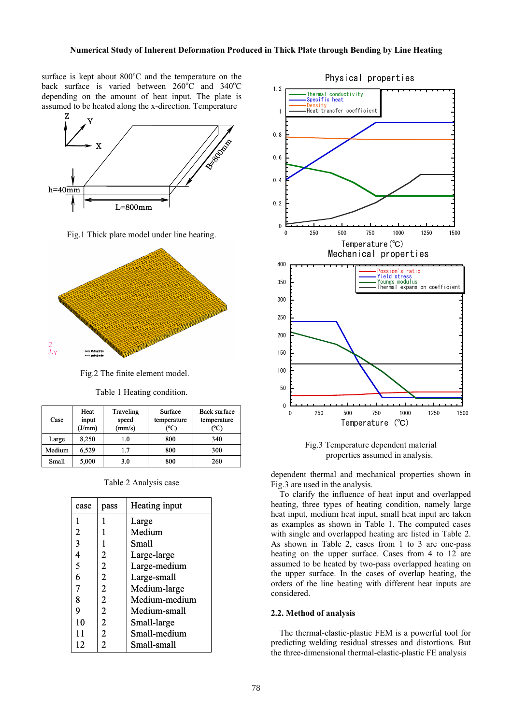surface is kept about  $800^{\circ}$ C and the temperature on the back surface is varied between  $260^{\circ}$ C and  $340^{\circ}$ C depending on the amount of heat input. The plate is assumed to be heated along the x-direction. Temperature



Fig.1 Thick plate model under line heating.



Fig.2 The finite element model.

Table 1 Heating condition.

| Case   | Heat<br>input<br>(J/mm) | Traveling<br>speed<br>(mm/s) | Surface<br>temperature<br>(°C | <b>Back surface</b><br>temperature<br>(°C) |
|--------|-------------------------|------------------------------|-------------------------------|--------------------------------------------|
| Large  | 8,250                   | 1.0                          | 800                           | 340                                        |
| Medium | 6,529                   | 1.7                          | 800                           | 300                                        |
| Small  | 5,000                   | 3.0                          | 800                           | 260                                        |

Table 2 Analysis case

| case | pass           | Heating input |
|------|----------------|---------------|
|      |                | Large         |
| 2    |                | Medium        |
| 3    |                | Small         |
| 4    | 2              | Large-large   |
| 5    | 2              | Large-medium  |
| 6    | $\overline{2}$ | Large-small   |
| 7    | $\overline{c}$ | Medium-large  |
| 8    | 2              | Medium-medium |
| 9    | $\overline{c}$ | Medium-small  |
| 10   | 2              | Small-large   |
| 11   | $\overline{2}$ | Small-medium  |
| 12   | 2              | Small-small   |





dependent thermal and mechanical properties shown in Fig.3 are used in the analysis.

 To clarify the influence of heat input and overlapped heating, three types of heating condition, namely large heat input, medium heat input, small heat input are taken as examples as shown in Table 1. The computed cases with single and overlapped heating are listed in Table 2. As shown in Table 2, cases from 1 to 3 are one-pass heating on the upper surface. Cases from 4 to 12 are assumed to be heated by two-pass overlapped heating on the upper surface. In the cases of overlap heating, the orders of the line heating with different heat inputs are considered.

#### **2.2. Method of analysis**

 The thermal-elastic-plastic FEM is a powerful tool for predicting welding residual stresses and distortions. But the three-dimensional thermal-elastic-plastic FE analysis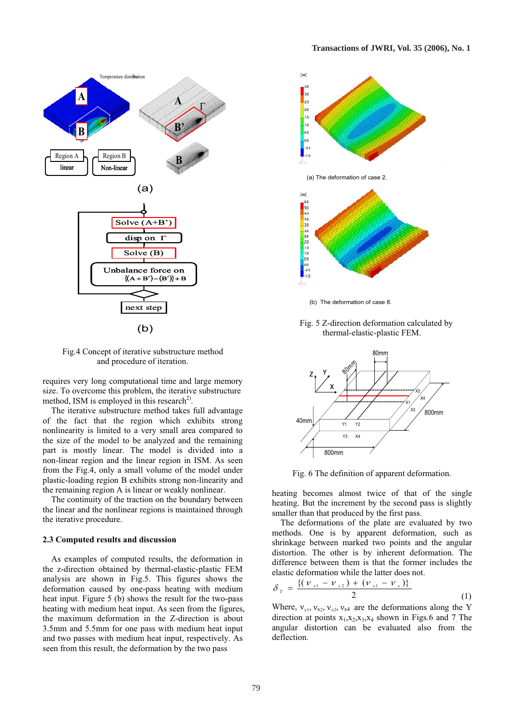

Fig.4 Concept of iterative substructure method and procedure of iteration.

requires very long computational time and large memory size. To overcome this problem, the iterative substructure method, ISM is employed in this research<sup>2)</sup>.

 The iterative substructure method takes full advantage of the fact that the region which exhibits strong nonlinearity is limited to a very small area compared to the size of the model to be analyzed and the remaining part is mostly linear. The model is divided into a non-linear region and the linear region in ISM. As seen from the Fig.4, only a small volume of the model under plastic-loading region B exhibits strong non-linearity and the remaining region A is linear or weakly nonlinear.

 The continuity of the traction on the boundary between the linear and the nonlinear regions is maintained through the iterative procedure.

#### **2.3 Computed results and discussion**

 As examples of computed results, the deformation in the z-direction obtained by thermal-elastic-plastic FEM analysis are shown in Fig.5. This figures shows the deformation caused by one-pass heating with medium heat input. Figure 5 (b) shows the result for the two-pass heating with medium heat input. As seen from the figures, the maximum deformation in the Z-direction is about 3.5mm and 5.5mm for one pass with medium heat input and two passes with medium heat input, respectively. As seen from this result, the deformation by the two pass

![](_page_2_Figure_8.jpeg)

(b) The deformation of case 8.

 Fig. 5 Z-direction deformation calculated by thermal-elastic-plastic FEM.

![](_page_2_Figure_11.jpeg)

Fig. 6 The definition of apparent deformation.

heating becomes almost twice of that of the single heating. But the increment by the second pass is slightly smaller than that produced by the first pass.

 The deformations of the plate are evaluated by two methods. One is by apparent deformation, such as shrinkage between marked two points and the angular distortion. The other is by inherent deformation. The difference between them is that the former includes the elastic deformation while the latter does not.

$$
\delta_{r} = \frac{\{(\nu_{x1} - \nu_{x2}) + (\nu_{x1} - \nu_{x})\}}{2}
$$
 (1)

Where,  $v_{x1}$ ,  $v_{x2}$ ,  $v_{x3}$ ,  $v_{x4}$  are the deformations along the Y direction at points  $x_1, x_2, x_3, x_4$  shown in Figs.6 and 7 The angular distortion can be evaluated also from the deflection.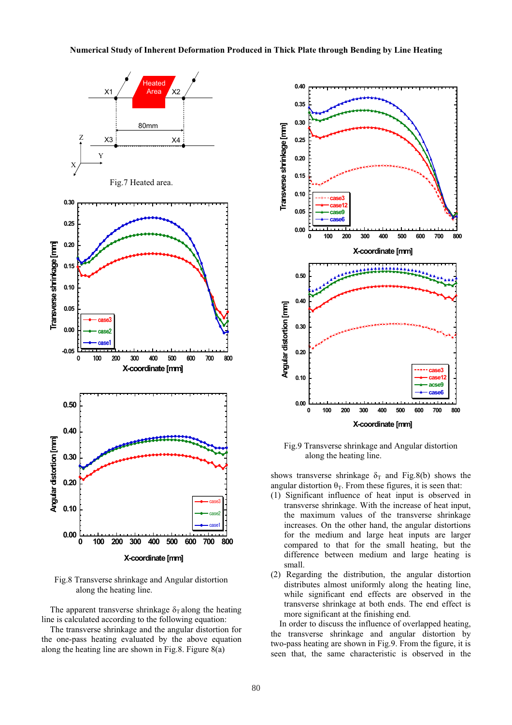![](_page_3_Figure_1.jpeg)

 Fig.8 Transverse shrinkage and Angular distortion along the heating line.

The apparent transverse shrinkage  $\delta_{\rm T}$  along the heating line is calculated according to the following equation:

 The transverse shrinkage and the angular distortion for the one-pass heating evaluated by the above equation along the heating line are shown in Fig.8. Figure 8(a)

![](_page_3_Figure_5.jpeg)

Fig.9 Transverse shrinkage and Angular distortion along the heating line.

shows transverse shrinkage  $\delta_T$  and Fig.8(b) shows the angular distortion  $\theta_T$ . From these figures, it is seen that:

- (1) Significant influence of heat input is observed in transverse shrinkage. With the increase of heat input, the maximum values of the transverse shrinkage increases. On the other hand, the angular distortions for the medium and large heat inputs are larger compared to that for the small heating, but the difference between medium and large heating is small.
- (2) Regarding the distribution, the angular distortion distributes almost uniformly along the heating line, while significant end effects are observed in the transverse shrinkage at both ends. The end effect is more significant at the finishing end.

 In order to discuss the influence of overlapped heating, the transverse shrinkage and angular distortion by two-pass heating are shown in Fig.9. From the figure, it is seen that, the same characteristic is observed in the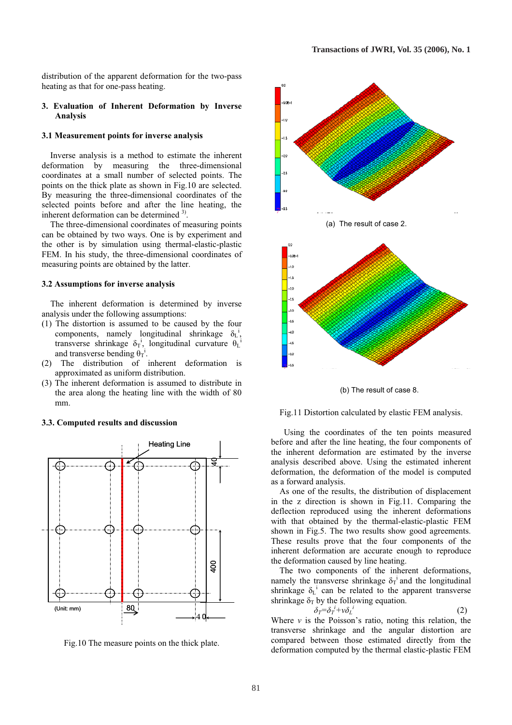distribution of the apparent deformation for the two-pass heating as that for one-pass heating.

# **3. Evaluation of Inherent Deformation by Inverse Analysis**

# **3.1 Measurement points for inverse analysis**

Inverse analysis is a method to estimate the inherent deformation by measuring the three-dimensional coordinates at a small number of selected points. The points on the thick plate as shown in Fig.10 are selected. By measuring the three-dimensional coordinates of the selected points before and after the line heating, the inherent deformation can be determined  $3^3$ .

 The three-dimensional coordinates of measuring points can be obtained by two ways. One is by experiment and the other is by simulation using thermal-elastic-plastic FEM. In his study, the three-dimensional coordinates of measuring points are obtained by the latter.

#### **3.2 Assumptions for inverse analysis**

The inherent deformation is determined by inverse analysis under the following assumptions:

- (1) The distortion is assumed to be caused by the four components, namely longitudinal shrinkage  $\delta_{\rm L}^{i}$ , transverse shrinkage  $\delta_T$ <sup>i</sup>, longitudinal curvature  $\theta_L$ and transverse bending  $\theta_T$ <sup>i</sup>.
- (2) The distribution of inherent deformation is approximated as uniform distribution.
- (3) The inherent deformation is assumed to distribute in the area along the heating line with the width of 80 mm.

# **3.3. Computed results and discussion**

![](_page_4_Figure_12.jpeg)

Fig.10 The measure points on the thick plate.

![](_page_4_Figure_14.jpeg)

(b) The result of case 8.

#### Fig.11 Distortion calculated by elastic FEM analysis.

 Using the coordinates of the ten points measured before and after the line heating, the four components of the inherent deformation are estimated by the inverse analysis described above. Using the estimated inherent deformation, the deformation of the model is computed as a forward analysis.

 As one of the results, the distribution of displacement in the z direction is shown in Fig.11. Comparing the deflection reproduced using the inherent deformations with that obtained by the thermal-elastic-plastic FEM shown in Fig.5. The two results show good agreements. These results prove that the four components of the inherent deformation are accurate enough to reproduce the deformation caused by line heating.

 The two components of the inherent deformations, namely the transverse shrinkage  $\delta_T$ <sup>i</sup> and the longitudinal shrinkage  $\delta_{\rm L}$ <sup>i</sup> can be related to the apparent transverse shrinkage  $\delta_T$  by the following equation.

$$
\delta_T = \delta_T^i + v \delta_L^i \tag{2}
$$

Where  $\nu$  is the Poisson's ratio, noting this relation, the transverse shrinkage and the angular distortion are compared between those estimated directly from the deformation computed by the thermal elastic-plastic FEM